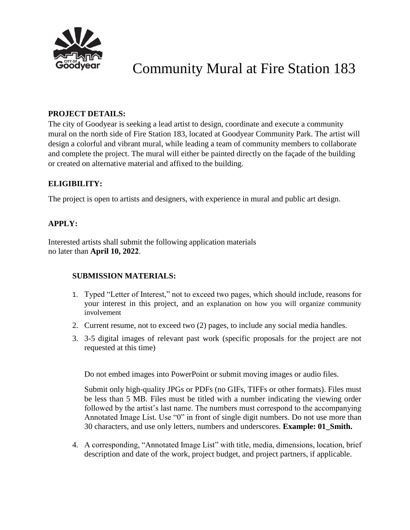

# Community Mural at Fire Station 183

# **PROJECT DETAILS:**

The city of Goodyear is seeking a lead artist to design, coordinate and execute a community mural on the north side of Fire Station 183, located at Goodyear Community Park. The artist will design a colorful and vibrant mural, while leading a team of community members to collaborate and complete the project. The mural will either be painted directly on the façade of the building or created on alternative material and affixed to the building.

# **ELIGIBILITY:**

The project is open to artists and designers, with experience in mural and public art design.

# **APPLY:**

Interested artists shall submit the following application materials no later than **April 10, 2022**.

# **SUBMISSION MATERIALS:**

- 1. Typed "Letter of Interest," not to exceed two pages, which should include, reasons for your interest in this project, and an explanation on how you will organize community involvement
- 2. Current resume, not to exceed two (2) pages, to include any social media handles.
- 3. 3-5 digital images of relevant past work (specific proposals for the project are not requested at this time)

Do not embed images into PowerPoint or submit moving images or audio files.

Submit only high-quality JPGs or PDFs (no GIFs, TIFFs or other formats). Files must be less than 5 MB. Files must be titled with a number indicating the viewing order followed by the artist's last name. The numbers must correspond to the accompanying Annotated Image List. Use "0" in front of single digit numbers. Do not use more than 30 characters, and use only letters, numbers and underscores. **Example: 01\_Smith.** 

4. A corresponding, "Annotated Image List" with title, media, dimensions, location, brief description and date of the work, project budget, and project partners, if applicable.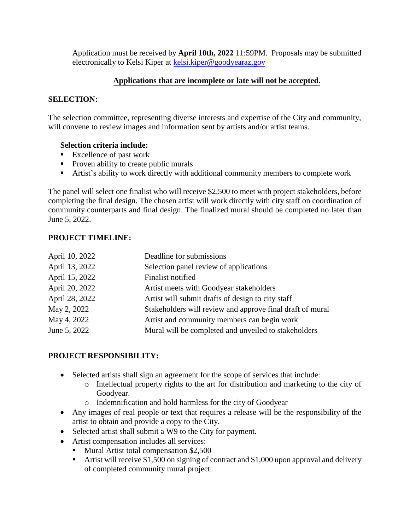Application must be received by **April 10th, 2022** 11:59PM. Proposals may be submitted electronically to Kelsi Kiper at kelsi.kiper@goodvearaz.gov

# **Applications that are incomplete or late will not be accepted.**

### **SELECTION:**

The selection committee, representing diverse interests and expertise of the City and community, will convene to review images and information sent by artists and/or artist teams.

### **Selection criteria include:**

- Excellence of past work
- Proven ability to create public murals
- Artist's ability to work directly with additional community members to complete work

The panel will select one finalist who will receive \$2,500 to meet with project stakeholders, before completing the final design. The chosen artist will work directly with city staff on coordination of community counterparts and final design. The finalized mural should be completed no later than June 5, 2022.

### **PROJECT TIMELINE:**

| April 10, 2022 | Deadline for submissions                                  |
|----------------|-----------------------------------------------------------|
| April 13, 2022 | Selection panel review of applications                    |
| April 15, 2022 | Finalist notified                                         |
| April 20, 2022 | Artist meets with Goodyear stakeholders                   |
| April 28, 2022 | Artist will submit drafts of design to city staff         |
| May 2, 2022    | Stakeholders will review and approve final draft of mural |
| May 4, 2022    | Artist and community members can begin work               |
| June 5, 2022   | Mural will be completed and unveiled to stakeholders      |
|                |                                                           |

# **PROJECT RESPONSIBILITY:**

- Selected artists shall sign an agreement for the scope of services that include:
	- o Intellectual property rights to the art for distribution and marketing to the city of Goodyear.
	- o Indemnification and hold harmless for the city of Goodyear
- Any images of real people or text that requires a release will be the responsibility of the artist to obtain and provide a copy to the City.
- Selected artist shall submit a W9 to the City for payment.
- Artist compensation includes all services:
	- Mural Artist total compensation \$2,500
		- Artist will receive \$1,500 on signing of contract and \$1,000 upon approval and delivery of completed community mural project.